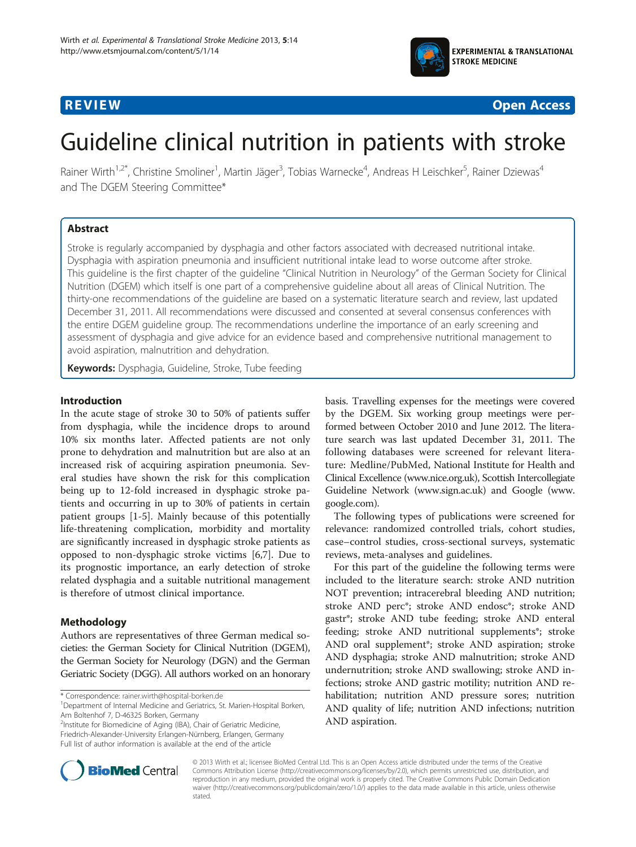

**REVIEW CONSTRUCTION CONSTRUCTION CONSTRUCTS** 

# Guideline clinical nutrition in patients with stroke

Rainer Wirth<sup>1,2\*</sup>, Christine Smoliner<sup>1</sup>, Martin Jäger<sup>3</sup>, Tobias Warnecke<sup>4</sup>, Andreas H Leischker<sup>5</sup>, Rainer Dziewas<sup>4</sup> and The DGEM Steering Committee\*

# Abstract

Stroke is regularly accompanied by dysphagia and other factors associated with decreased nutritional intake. Dysphagia with aspiration pneumonia and insufficient nutritional intake lead to worse outcome after stroke. This guideline is the first chapter of the guideline "Clinical Nutrition in Neurology" of the German Society for Clinical Nutrition (DGEM) which itself is one part of a comprehensive guideline about all areas of Clinical Nutrition. The thirty-one recommendations of the guideline are based on a systematic literature search and review, last updated December 31, 2011. All recommendations were discussed and consented at several consensus conferences with the entire DGEM guideline group. The recommendations underline the importance of an early screening and assessment of dysphagia and give advice for an evidence based and comprehensive nutritional management to avoid aspiration, malnutrition and dehydration.

Keywords: Dysphagia, Guideline, Stroke, Tube feeding

#### Introduction

In the acute stage of stroke 30 to 50% of patients suffer from dysphagia, while the incidence drops to around 10% six months later. Affected patients are not only prone to dehydration and malnutrition but are also at an increased risk of acquiring aspiration pneumonia. Several studies have shown the risk for this complication being up to 12-fold increased in dysphagic stroke patients and occurring in up to 30% of patients in certain patient groups [\[1](#page-8-0)-[5\]](#page-8-0). Mainly because of this potentially life-threatening complication, morbidity and mortality are significantly increased in dysphagic stroke patients as opposed to non-dysphagic stroke victims [[6,7\]](#page-8-0). Due to its prognostic importance, an early detection of stroke related dysphagia and a suitable nutritional management is therefore of utmost clinical importance.

# Methodology

Authors are representatives of three German medical societies: the German Society for Clinical Nutrition (DGEM), the German Society for Neurology (DGN) and the German Geriatric Society (DGG). All authors worked on an honorary

\* Correspondence: [rainer.wirth@hospital-borken.de](mailto:rainer.wirth@hospital-borken.de) <sup>1</sup>

<sup>1</sup>Department of Internal Medicine and Geriatrics, St. Marien-Hospital Borken, Am Boltenhof 7, D-46325 Borken, Germany

<sup>2</sup>Institute for Biomedicine of Aging (IBA), Chair of Geriatric Medicine, Friedrich-Alexander-University Erlangen-Nürnberg, Erlangen, Germany Full list of author information is available at the end of the article

basis. Travelling expenses for the meetings were covered by the DGEM. Six working group meetings were performed between October 2010 and June 2012. The literature search was last updated December 31, 2011. The following databases were screened for relevant literature: Medline/PubMed, National Institute for Health and Clinical Excellence [\(www.nice.org.uk](http://www.nice.org.uk)), Scottish Intercollegiate Guideline Network [\(www.sign.ac.uk](http://www.sign.ac.uk)) and Google [\(www.](http://www.google.com) [google.com](http://www.google.com)).

The following types of publications were screened for relevance: randomized controlled trials, cohort studies, case–control studies, cross-sectional surveys, systematic reviews, meta-analyses and guidelines.

For this part of the guideline the following terms were included to the literature search: stroke AND nutrition NOT prevention; intracerebral bleeding AND nutrition; stroke AND perc\*; stroke AND endosc\*; stroke AND gastr\*; stroke AND tube feeding; stroke AND enteral feeding; stroke AND nutritional supplements\*; stroke AND oral supplement\*; stroke AND aspiration; stroke AND dysphagia; stroke AND malnutrition; stroke AND undernutrition; stroke AND swallowing; stroke AND infections; stroke AND gastric motility; nutrition AND rehabilitation; nutrition AND pressure sores; nutrition AND quality of life; nutrition AND infections; nutrition AND aspiration.



© 2013 Wirth et al.; licensee BioMed Central Ltd. This is an Open Access article distributed under the terms of the Creative Commons Attribution License [\(http://creativecommons.org/licenses/by/2.0\)](http://creativecommons.org/licenses/by/2.0), which permits unrestricted use, distribution, and reproduction in any medium, provided the original work is properly cited. The Creative Commons Public Domain Dedication waiver [\(http://creativecommons.org/publicdomain/zero/1.0/\)](http://creativecommons.org/publicdomain/zero/1.0/) applies to the data made available in this article, unless otherwise stated.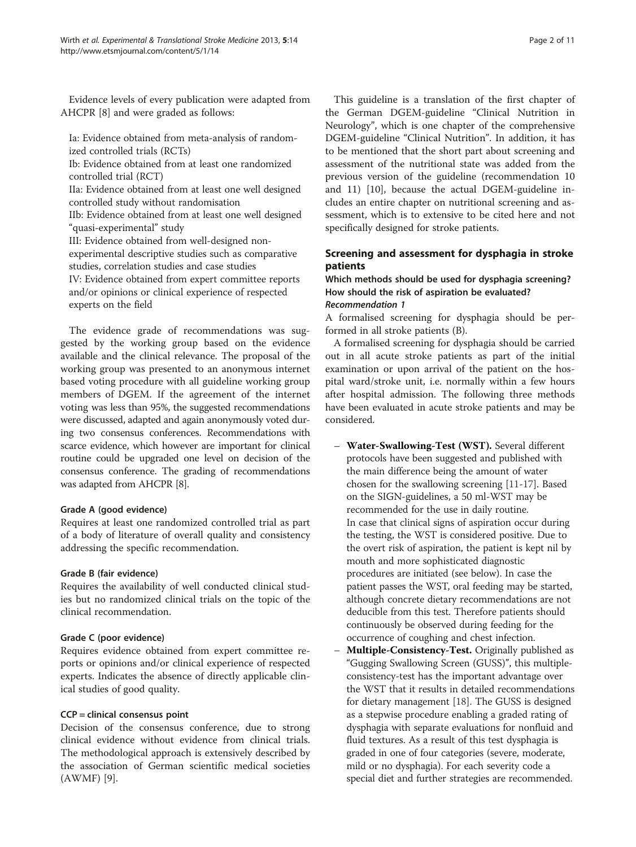Evidence levels of every publication were adapted from AHCPR [[8](#page-8-0)] and were graded as follows:

Ia: Evidence obtained from meta-analysis of randomized controlled trials (RCTs)

Ib: Evidence obtained from at least one randomized controlled trial (RCT)

IIa: Evidence obtained from at least one well designed controlled study without randomisation

IIb: Evidence obtained from at least one well designed "quasi-experimental" study

III: Evidence obtained from well-designed nonexperimental descriptive studies such as comparative

studies, correlation studies and case studies

IV: Evidence obtained from expert committee reports and/or opinions or clinical experience of respected experts on the field

The evidence grade of recommendations was suggested by the working group based on the evidence available and the clinical relevance. The proposal of the working group was presented to an anonymous internet based voting procedure with all guideline working group members of DGEM. If the agreement of the internet voting was less than 95%, the suggested recommendations were discussed, adapted and again anonymously voted during two consensus conferences. Recommendations with scarce evidence, which however are important for clinical routine could be upgraded one level on decision of the consensus conference. The grading of recommendations was adapted from AHCPR [\[8](#page-8-0)].

#### Grade A (good evidence)

Requires at least one randomized controlled trial as part of a body of literature of overall quality and consistency addressing the specific recommendation.

#### Grade B (fair evidence)

Requires the availability of well conducted clinical studies but no randomized clinical trials on the topic of the clinical recommendation.

#### Grade C (poor evidence)

Requires evidence obtained from expert committee reports or opinions and/or clinical experience of respected experts. Indicates the absence of directly applicable clinical studies of good quality.

#### CCP = clinical consensus point

Decision of the consensus conference, due to strong clinical evidence without evidence from clinical trials. The methodological approach is extensively described by the association of German scientific medical societies (AWMF) [\[9](#page-8-0)].

This guideline is a translation of the first chapter of the German DGEM-guideline "Clinical Nutrition in Neurology", which is one chapter of the comprehensive DGEM-guideline "Clinical Nutrition". In addition, it has to be mentioned that the short part about screening and assessment of the nutritional state was added from the previous version of the guideline (recommendation 10 and 11) [[10](#page-8-0)], because the actual DGEM-guideline includes an entire chapter on nutritional screening and assessment, which is to extensive to be cited here and not specifically designed for stroke patients.

# Screening and assessment for dysphagia in stroke patients

#### Which methods should be used for dysphagia screening? How should the risk of aspiration be evaluated? Recommendation 1

A formalised screening for dysphagia should be performed in all stroke patients (B).

A formalised screening for dysphagia should be carried out in all acute stroke patients as part of the initial examination or upon arrival of the patient on the hospital ward/stroke unit, i.e. normally within a few hours after hospital admission. The following three methods have been evaluated in acute stroke patients and may be considered.

- Water-Swallowing-Test (WST). Several different protocols have been suggested and published with the main difference being the amount of water chosen for the swallowing screening [[11](#page-8-0)-[17\]](#page-8-0). Based on the SIGN-guidelines, a 50 ml-WST may be recommended for the use in daily routine. In case that clinical signs of aspiration occur during the testing, the WST is considered positive. Due to the overt risk of aspiration, the patient is kept nil by mouth and more sophisticated diagnostic procedures are initiated (see below). In case the patient passes the WST, oral feeding may be started, although concrete dietary recommendations are not deducible from this test. Therefore patients should continuously be observed during feeding for the occurrence of coughing and chest infection.
- Multiple-Consistency-Test. Originally published as "Gugging Swallowing Screen (GUSS)", this multipleconsistency-test has the important advantage over the WST that it results in detailed recommendations for dietary management [\[18\]](#page-8-0). The GUSS is designed as a stepwise procedure enabling a graded rating of dysphagia with separate evaluations for nonfluid and fluid textures. As a result of this test dysphagia is graded in one of four categories (severe, moderate, mild or no dysphagia). For each severity code a special diet and further strategies are recommended.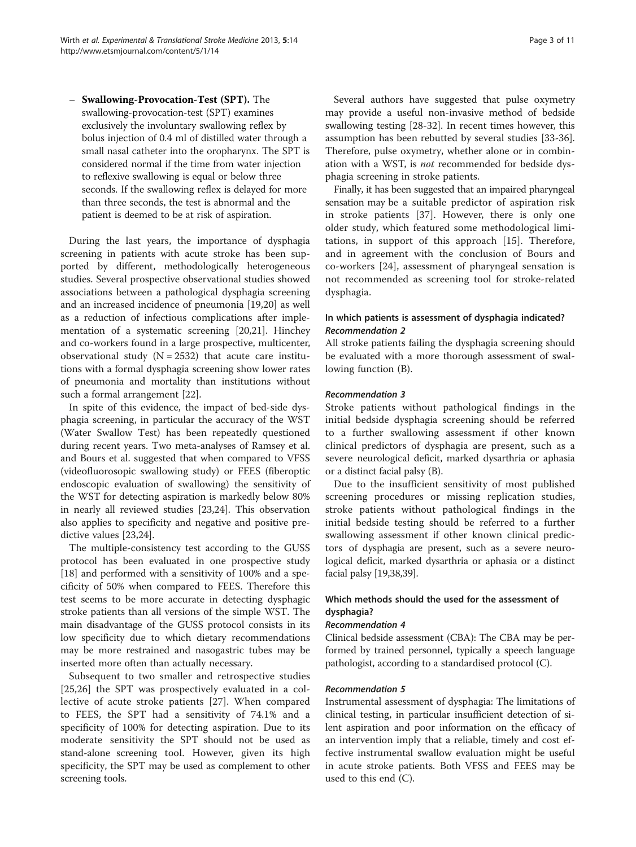– Swallowing-Provocation-Test (SPT). The swallowing-provocation-test (SPT) examines exclusively the involuntary swallowing reflex by bolus injection of 0.4 ml of distilled water through a small nasal catheter into the oropharynx. The SPT is considered normal if the time from water injection to reflexive swallowing is equal or below three seconds. If the swallowing reflex is delayed for more than three seconds, the test is abnormal and the patient is deemed to be at risk of aspiration.

During the last years, the importance of dysphagia screening in patients with acute stroke has been supported by different, methodologically heterogeneous studies. Several prospective observational studies showed associations between a pathological dysphagia screening and an increased incidence of pneumonia [[19](#page-8-0),[20](#page-8-0)] as well as a reduction of infectious complications after implementation of a systematic screening [[20,21](#page-8-0)]. Hinchey and co-workers found in a large prospective, multicenter, observational study  $(N = 2532)$  that acute care institutions with a formal dysphagia screening show lower rates of pneumonia and mortality than institutions without such a formal arrangement [\[22](#page-8-0)].

In spite of this evidence, the impact of bed-side dysphagia screening, in particular the accuracy of the WST (Water Swallow Test) has been repeatedly questioned during recent years. Two meta-analyses of Ramsey et al. and Bours et al. suggested that when compared to VFSS (videofluorosopic swallowing study) or FEES (fiberoptic endoscopic evaluation of swallowing) the sensitivity of the WST for detecting aspiration is markedly below 80% in nearly all reviewed studies [[23,24\]](#page-8-0). This observation also applies to specificity and negative and positive predictive values [[23](#page-8-0),[24](#page-8-0)].

The multiple-consistency test according to the GUSS protocol has been evaluated in one prospective study [[18\]](#page-8-0) and performed with a sensitivity of 100% and a specificity of 50% when compared to FEES. Therefore this test seems to be more accurate in detecting dysphagic stroke patients than all versions of the simple WST. The main disadvantage of the GUSS protocol consists in its low specificity due to which dietary recommendations may be more restrained and nasogastric tubes may be inserted more often than actually necessary.

Subsequent to two smaller and retrospective studies [[25,26](#page-8-0)] the SPT was prospectively evaluated in a collective of acute stroke patients [[27](#page-8-0)]. When compared to FEES, the SPT had a sensitivity of 74.1% and a specificity of 100% for detecting aspiration. Due to its moderate sensitivity the SPT should not be used as stand-alone screening tool. However, given its high specificity, the SPT may be used as complement to other screening tools.

Several authors have suggested that pulse oxymetry may provide a useful non-invasive method of bedside swallowing testing [[28](#page-8-0)-[32\]](#page-8-0). In recent times however, this assumption has been rebutted by several studies [\[33](#page-8-0)[-36](#page-9-0)]. Therefore, pulse oxymetry, whether alone or in combination with a WST, is not recommended for bedside dysphagia screening in stroke patients.

Finally, it has been suggested that an impaired pharyngeal sensation may be a suitable predictor of aspiration risk in stroke patients [[37\]](#page-9-0). However, there is only one older study, which featured some methodological limitations, in support of this approach [\[15](#page-8-0)]. Therefore, and in agreement with the conclusion of Bours and co-workers [\[24](#page-8-0)], assessment of pharyngeal sensation is not recommended as screening tool for stroke-related dysphagia.

# In which patients is assessment of dysphagia indicated? Recommendation 2

All stroke patients failing the dysphagia screening should be evaluated with a more thorough assessment of swallowing function (B).

#### Recommendation 3

Stroke patients without pathological findings in the initial bedside dysphagia screening should be referred to a further swallowing assessment if other known clinical predictors of dysphagia are present, such as a severe neurological deficit, marked dysarthria or aphasia or a distinct facial palsy (B).

Due to the insufficient sensitivity of most published screening procedures or missing replication studies, stroke patients without pathological findings in the initial bedside testing should be referred to a further swallowing assessment if other known clinical predictors of dysphagia are present, such as a severe neurological deficit, marked dysarthria or aphasia or a distinct facial palsy [[19](#page-8-0)[,38,39\]](#page-9-0).

# Which methods should the used for the assessment of dysphagia?

#### Recommendation 4

Clinical bedside assessment (CBA): The CBA may be performed by trained personnel, typically a speech language pathologist, according to a standardised protocol (C).

#### Recommendation 5

Instrumental assessment of dysphagia: The limitations of clinical testing, in particular insufficient detection of silent aspiration and poor information on the efficacy of an intervention imply that a reliable, timely and cost effective instrumental swallow evaluation might be useful in acute stroke patients. Both VFSS and FEES may be used to this end (C).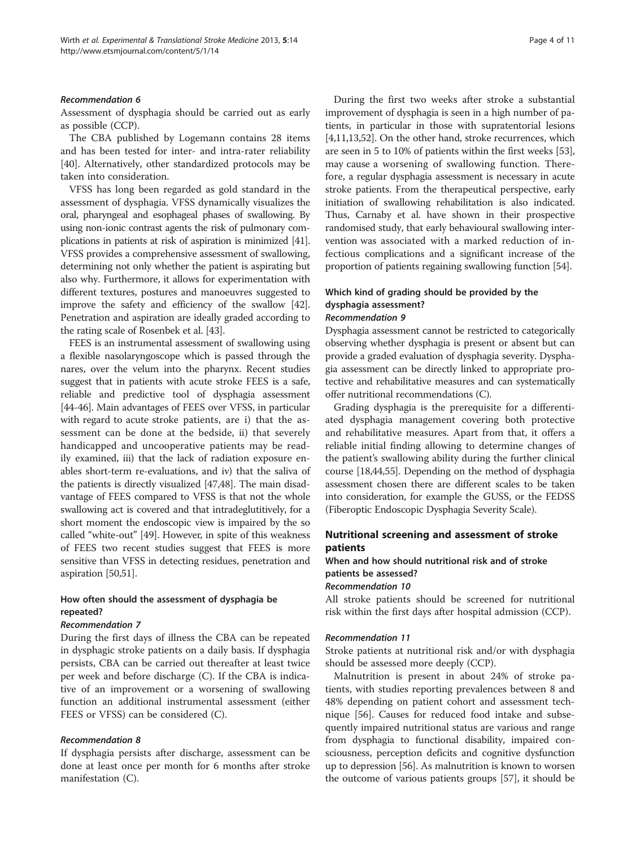#### Recommendation 6

Assessment of dysphagia should be carried out as early as possible (CCP).

The CBA published by Logemann contains 28 items and has been tested for inter- and intra-rater reliability [[40\]](#page-9-0). Alternatively, other standardized protocols may be taken into consideration.

VFSS has long been regarded as gold standard in the assessment of dysphagia. VFSS dynamically visualizes the oral, pharyngeal and esophageal phases of swallowing. By using non-ionic contrast agents the risk of pulmonary complications in patients at risk of aspiration is minimized [\[41](#page-9-0)]. VFSS provides a comprehensive assessment of swallowing, determining not only whether the patient is aspirating but also why. Furthermore, it allows for experimentation with different textures, postures and manoeuvres suggested to improve the safety and efficiency of the swallow [[42](#page-9-0)]. Penetration and aspiration are ideally graded according to the rating scale of Rosenbek et al. [[43](#page-9-0)].

FEES is an instrumental assessment of swallowing using a flexible nasolaryngoscope which is passed through the nares, over the velum into the pharynx. Recent studies suggest that in patients with acute stroke FEES is a safe, reliable and predictive tool of dysphagia assessment [[44](#page-9-0)-[46\]](#page-9-0). Main advantages of FEES over VFSS, in particular with regard to acute stroke patients, are i) that the assessment can be done at the bedside, ii) that severely handicapped and uncooperative patients may be readily examined, iii) that the lack of radiation exposure enables short-term re-evaluations, and iv) that the saliva of the patients is directly visualized [\[47,48\]](#page-9-0). The main disadvantage of FEES compared to VFSS is that not the whole swallowing act is covered and that intradeglutitively, for a short moment the endoscopic view is impaired by the so called "white-out" [\[49](#page-9-0)]. However, in spite of this weakness of FEES two recent studies suggest that FEES is more sensitive than VFSS in detecting residues, penetration and aspiration [[50,51](#page-9-0)].

#### How often should the assessment of dysphagia be repeated?

#### Recommendation 7

During the first days of illness the CBA can be repeated in dysphagic stroke patients on a daily basis. If dysphagia persists, CBA can be carried out thereafter at least twice per week and before discharge (C). If the CBA is indicative of an improvement or a worsening of swallowing function an additional instrumental assessment (either FEES or VFSS) can be considered (C).

#### Recommendation 8

If dysphagia persists after discharge, assessment can be done at least once per month for 6 months after stroke manifestation (C).

During the first two weeks after stroke a substantial improvement of dysphagia is seen in a high number of patients, in particular in those with supratentorial lesions [[4,11,13](#page-8-0)[,52\]](#page-9-0). On the other hand, stroke recurrences, which are seen in 5 to 10% of patients within the first weeks [[53](#page-9-0)], may cause a worsening of swallowing function. Therefore, a regular dysphagia assessment is necessary in acute stroke patients. From the therapeutical perspective, early initiation of swallowing rehabilitation is also indicated. Thus, Carnaby et al. have shown in their prospective randomised study, that early behavioural swallowing intervention was associated with a marked reduction of infectious complications and a significant increase of the proportion of patients regaining swallowing function [[54\]](#page-9-0).

# Which kind of grading should be provided by the dysphagia assessment?

#### Recommendation 9

Dysphagia assessment cannot be restricted to categorically observing whether dysphagia is present or absent but can provide a graded evaluation of dysphagia severity. Dysphagia assessment can be directly linked to appropriate protective and rehabilitative measures and can systematically offer nutritional recommendations (C).

Grading dysphagia is the prerequisite for a differentiated dysphagia management covering both protective and rehabilitative measures. Apart from that, it offers a reliable initial finding allowing to determine changes of the patient's swallowing ability during the further clinical course [\[18,](#page-8-0)[44,55](#page-9-0)]. Depending on the method of dysphagia assessment chosen there are different scales to be taken into consideration, for example the GUSS, or the FEDSS (Fiberoptic Endoscopic Dysphagia Severity Scale).

# Nutritional screening and assessment of stroke patients

# When and how should nutritional risk and of stroke patients be assessed?

## Recommendation 10

All stroke patients should be screened for nutritional risk within the first days after hospital admission (CCP).

#### Recommendation 11

Stroke patients at nutritional risk and/or with dysphagia should be assessed more deeply (CCP).

Malnutrition is present in about 24% of stroke patients, with studies reporting prevalences between 8 and 48% depending on patient cohort and assessment technique [\[56](#page-9-0)]. Causes for reduced food intake and subsequently impaired nutritional status are various and range from dysphagia to functional disability, impaired consciousness, perception deficits and cognitive dysfunction up to depression [[56](#page-9-0)]. As malnutrition is known to worsen the outcome of various patients groups [[57](#page-9-0)], it should be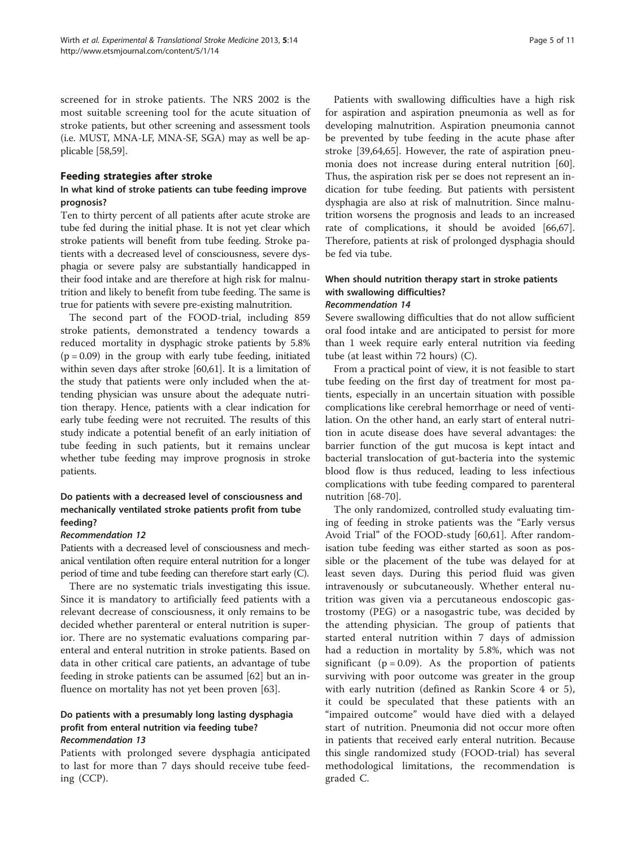screened for in stroke patients. The NRS 2002 is the most suitable screening tool for the acute situation of stroke patients, but other screening and assessment tools (i.e. MUST, MNA-LF, MNA-SF, SGA) may as well be applicable [[58,59](#page-9-0)].

#### Feeding strategies after stroke

#### In what kind of stroke patients can tube feeding improve prognosis?

Ten to thirty percent of all patients after acute stroke are tube fed during the initial phase. It is not yet clear which stroke patients will benefit from tube feeding. Stroke patients with a decreased level of consciousness, severe dysphagia or severe palsy are substantially handicapped in their food intake and are therefore at high risk for malnutrition and likely to benefit from tube feeding. The same is true for patients with severe pre-existing malnutrition.

The second part of the FOOD-trial, including 859 stroke patients, demonstrated a tendency towards a reduced mortality in dysphagic stroke patients by 5.8%  $(p = 0.09)$  in the group with early tube feeding, initiated within seven days after stroke [\[60,61](#page-9-0)]. It is a limitation of the study that patients were only included when the attending physician was unsure about the adequate nutrition therapy. Hence, patients with a clear indication for early tube feeding were not recruited. The results of this study indicate a potential benefit of an early initiation of tube feeding in such patients, but it remains unclear whether tube feeding may improve prognosis in stroke patients.

# Do patients with a decreased level of consciousness and mechanically ventilated stroke patients profit from tube feeding?

#### Recommendation 12

Patients with a decreased level of consciousness and mechanical ventilation often require enteral nutrition for a longer period of time and tube feeding can therefore start early (C).

There are no systematic trials investigating this issue. Since it is mandatory to artificially feed patients with a relevant decrease of consciousness, it only remains to be decided whether parenteral or enteral nutrition is superior. There are no systematic evaluations comparing parenteral and enteral nutrition in stroke patients. Based on data in other critical care patients, an advantage of tube feeding in stroke patients can be assumed [[62\]](#page-9-0) but an influence on mortality has not yet been proven [\[63](#page-9-0)].

#### Do patients with a presumably long lasting dysphagia profit from enteral nutrition via feeding tube? Recommendation 13

Patients with prolonged severe dysphagia anticipated to last for more than 7 days should receive tube feeding (CCP).

Patients with swallowing difficulties have a high risk for aspiration and aspiration pneumonia as well as for developing malnutrition. Aspiration pneumonia cannot be prevented by tube feeding in the acute phase after stroke [[39,64,65\]](#page-9-0). However, the rate of aspiration pneumonia does not increase during enteral nutrition [\[60](#page-9-0)]. Thus, the aspiration risk per se does not represent an indication for tube feeding. But patients with persistent dysphagia are also at risk of malnutrition. Since malnutrition worsens the prognosis and leads to an increased rate of complications, it should be avoided [\[66,67](#page-9-0)]. Therefore, patients at risk of prolonged dysphagia should be fed via tube.

#### When should nutrition therapy start in stroke patients with swallowing difficulties? Recommendation 14

Severe swallowing difficulties that do not allow sufficient oral food intake and are anticipated to persist for more than 1 week require early enteral nutrition via feeding tube (at least within 72 hours) (C).

From a practical point of view, it is not feasible to start tube feeding on the first day of treatment for most patients, especially in an uncertain situation with possible complications like cerebral hemorrhage or need of ventilation. On the other hand, an early start of enteral nutrition in acute disease does have several advantages: the barrier function of the gut mucosa is kept intact and bacterial translocation of gut-bacteria into the systemic blood flow is thus reduced, leading to less infectious complications with tube feeding compared to parenteral nutrition [\[68](#page-9-0)-[70](#page-9-0)].

The only randomized, controlled study evaluating timing of feeding in stroke patients was the "Early versus Avoid Trial" of the FOOD-study [\[60,61](#page-9-0)]. After randomisation tube feeding was either started as soon as possible or the placement of the tube was delayed for at least seven days. During this period fluid was given intravenously or subcutaneously. Whether enteral nutrition was given via a percutaneous endoscopic gastrostomy (PEG) or a nasogastric tube, was decided by the attending physician. The group of patients that started enteral nutrition within 7 days of admission had a reduction in mortality by 5.8%, which was not significant ( $p = 0.09$ ). As the proportion of patients surviving with poor outcome was greater in the group with early nutrition (defined as Rankin Score 4 or 5), it could be speculated that these patients with an "impaired outcome" would have died with a delayed start of nutrition. Pneumonia did not occur more often in patients that received early enteral nutrition. Because this single randomized study (FOOD-trial) has several methodological limitations, the recommendation is graded C.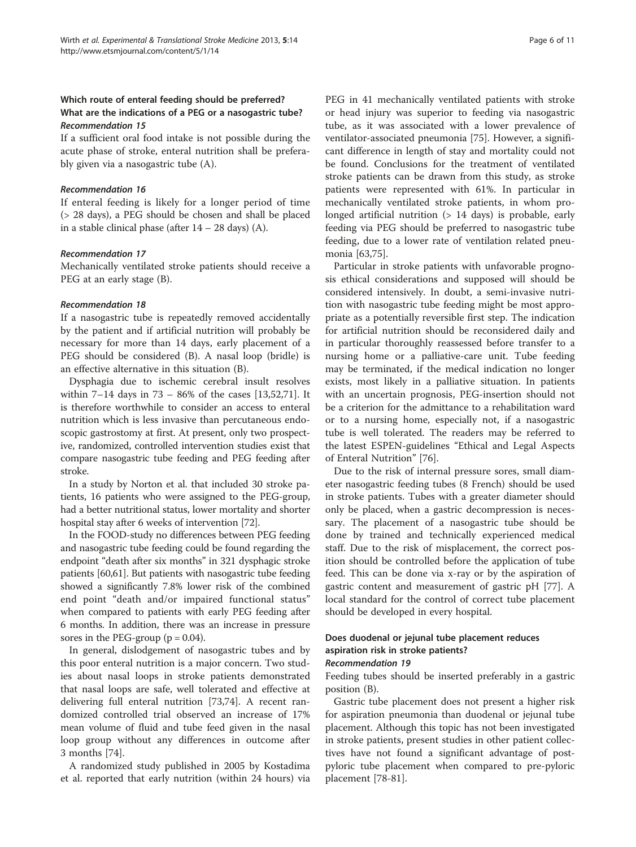#### Which route of enteral feeding should be preferred? What are the indications of a PEG or a nasogastric tube? Recommendation 15

If a sufficient oral food intake is not possible during the acute phase of stroke, enteral nutrition shall be preferably given via a nasogastric tube (A).

#### Recommendation 16

If enteral feeding is likely for a longer period of time (> 28 days), a PEG should be chosen and shall be placed in a stable clinical phase (after  $14 - 28$  days) (A).

#### Recommendation 17

Mechanically ventilated stroke patients should receive a PEG at an early stage (B).

#### Recommendation 18

If a nasogastric tube is repeatedly removed accidentally by the patient and if artificial nutrition will probably be necessary for more than 14 days, early placement of a PEG should be considered (B). A nasal loop (bridle) is an effective alternative in this situation (B).

Dysphagia due to ischemic cerebral insult resolves within 7–14 days in 73 – 86% of the cases [[13](#page-8-0)[,52,71](#page-9-0)]. It is therefore worthwhile to consider an access to enteral nutrition which is less invasive than percutaneous endoscopic gastrostomy at first. At present, only two prospective, randomized, controlled intervention studies exist that compare nasogastric tube feeding and PEG feeding after stroke.

In a study by Norton et al. that included 30 stroke patients, 16 patients who were assigned to the PEG-group, had a better nutritional status, lower mortality and shorter hospital stay after 6 weeks of intervention [[72](#page-9-0)].

In the FOOD-study no differences between PEG feeding and nasogastric tube feeding could be found regarding the endpoint "death after six months" in 321 dysphagic stroke patients [[60,61](#page-9-0)]. But patients with nasogastric tube feeding showed a significantly 7.8% lower risk of the combined end point "death and/or impaired functional status" when compared to patients with early PEG feeding after 6 months. In addition, there was an increase in pressure sores in the PEG-group  $(p = 0.04)$ .

In general, dislodgement of nasogastric tubes and by this poor enteral nutrition is a major concern. Two studies about nasal loops in stroke patients demonstrated that nasal loops are safe, well tolerated and effective at delivering full enteral nutrition [\[73,74](#page-9-0)]. A recent randomized controlled trial observed an increase of 17% mean volume of fluid and tube feed given in the nasal loop group without any differences in outcome after 3 months [[74](#page-9-0)].

A randomized study published in 2005 by Kostadima et al. reported that early nutrition (within 24 hours) via PEG in 41 mechanically ventilated patients with stroke or head injury was superior to feeding via nasogastric tube, as it was associated with a lower prevalence of ventilator-associated pneumonia [[75](#page-9-0)]. However, a significant difference in length of stay and mortality could not be found. Conclusions for the treatment of ventilated stroke patients can be drawn from this study, as stroke patients were represented with 61%. In particular in mechanically ventilated stroke patients, in whom prolonged artificial nutrition (> 14 days) is probable, early feeding via PEG should be preferred to nasogastric tube feeding, due to a lower rate of ventilation related pneumonia [[63,75](#page-9-0)].

Particular in stroke patients with unfavorable prognosis ethical considerations and supposed will should be considered intensively. In doubt, a semi-invasive nutrition with nasogastric tube feeding might be most appropriate as a potentially reversible first step. The indication for artificial nutrition should be reconsidered daily and in particular thoroughly reassessed before transfer to a nursing home or a palliative-care unit. Tube feeding may be terminated, if the medical indication no longer exists, most likely in a palliative situation. In patients with an uncertain prognosis, PEG-insertion should not be a criterion for the admittance to a rehabilitation ward or to a nursing home, especially not, if a nasogastric tube is well tolerated. The readers may be referred to the latest ESPEN-guidelines "Ethical and Legal Aspects of Enteral Nutrition" [[76\]](#page-9-0).

Due to the risk of internal pressure sores, small diameter nasogastric feeding tubes (8 French) should be used in stroke patients. Tubes with a greater diameter should only be placed, when a gastric decompression is necessary. The placement of a nasogastric tube should be done by trained and technically experienced medical staff. Due to the risk of misplacement, the correct position should be controlled before the application of tube feed. This can be done via x-ray or by the aspiration of gastric content and measurement of gastric pH [\[77](#page-9-0)]. A local standard for the control of correct tube placement should be developed in every hospital.

#### Does duodenal or jejunal tube placement reduces aspiration risk in stroke patients? Recommendation 19

Feeding tubes should be inserted preferably in a gastric position (B).

Gastric tube placement does not present a higher risk for aspiration pneumonia than duodenal or jejunal tube placement. Although this topic has not been investigated in stroke patients, present studies in other patient collectives have not found a significant advantage of postpyloric tube placement when compared to pre-pyloric placement [[78-81](#page-9-0)].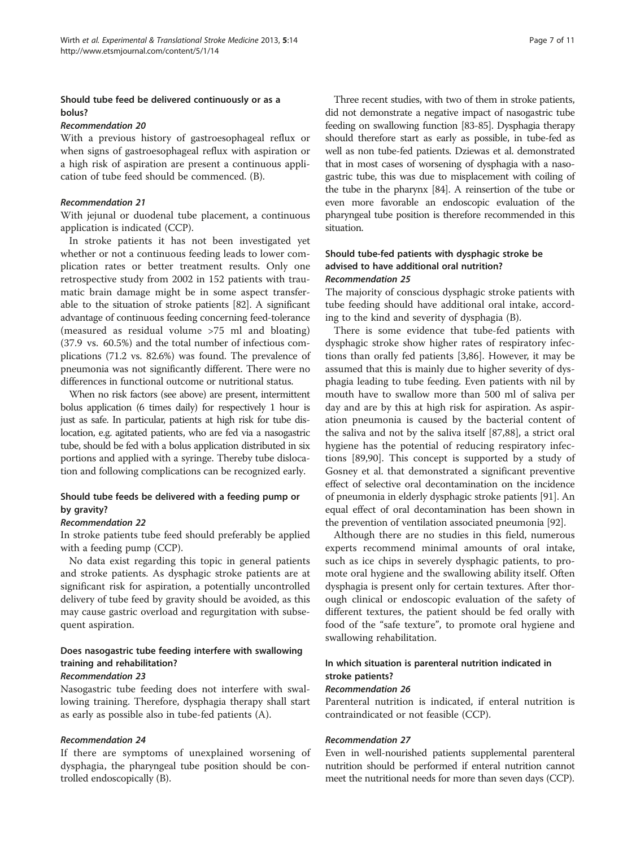#### Should tube feed be delivered continuously or as a bolus?

#### Recommendation 20

With a previous history of gastroesophageal reflux or when signs of gastroesophageal reflux with aspiration or a high risk of aspiration are present a continuous application of tube feed should be commenced. (B).

#### Recommendation 21

With jejunal or duodenal tube placement, a continuous application is indicated (CCP).

In stroke patients it has not been investigated yet whether or not a continuous feeding leads to lower complication rates or better treatment results. Only one retrospective study from 2002 in 152 patients with traumatic brain damage might be in some aspect transferable to the situation of stroke patients [\[82\]](#page-9-0). A significant advantage of continuous feeding concerning feed-tolerance (measured as residual volume >75 ml and bloating) (37.9 vs. 60.5%) and the total number of infectious complications (71.2 vs. 82.6%) was found. The prevalence of pneumonia was not significantly different. There were no differences in functional outcome or nutritional status.

When no risk factors (see above) are present, intermittent bolus application (6 times daily) for respectively 1 hour is just as safe. In particular, patients at high risk for tube dislocation, e.g. agitated patients, who are fed via a nasogastric tube, should be fed with a bolus application distributed in six portions and applied with a syringe. Thereby tube dislocation and following complications can be recognized early.

#### Should tube feeds be delivered with a feeding pump or by gravity?

#### Recommendation 22

In stroke patients tube feed should preferably be applied with a feeding pump (CCP).

No data exist regarding this topic in general patients and stroke patients. As dysphagic stroke patients are at significant risk for aspiration, a potentially uncontrolled delivery of tube feed by gravity should be avoided, as this may cause gastric overload and regurgitation with subsequent aspiration.

# Does nasogastric tube feeding interfere with swallowing training and rehabilitation?

#### Recommendation 23

Nasogastric tube feeding does not interfere with swallowing training. Therefore, dysphagia therapy shall start as early as possible also in tube-fed patients (A).

#### Recommendation 24

If there are symptoms of unexplained worsening of dysphagia, the pharyngeal tube position should be controlled endoscopically (B).

Three recent studies, with two of them in stroke patients, did not demonstrate a negative impact of nasogastric tube feeding on swallowing function [\[83-85](#page-10-0)]. Dysphagia therapy should therefore start as early as possible, in tube-fed as well as non tube-fed patients. Dziewas et al. demonstrated that in most cases of worsening of dysphagia with a nasogastric tube, this was due to misplacement with coiling of the tube in the pharynx [[84\]](#page-10-0). A reinsertion of the tube or even more favorable an endoscopic evaluation of the pharyngeal tube position is therefore recommended in this situation.

## Should tube-fed patients with dysphagic stroke be advised to have additional oral nutrition? Recommendation 25

The majority of conscious dysphagic stroke patients with tube feeding should have additional oral intake, according to the kind and severity of dysphagia (B).

There is some evidence that tube-fed patients with dysphagic stroke show higher rates of respiratory infections than orally fed patients [[3,](#page-8-0)[86\]](#page-10-0). However, it may be assumed that this is mainly due to higher severity of dysphagia leading to tube feeding. Even patients with nil by mouth have to swallow more than 500 ml of saliva per day and are by this at high risk for aspiration. As aspiration pneumonia is caused by the bacterial content of the saliva and not by the saliva itself [[87,88\]](#page-10-0), a strict oral hygiene has the potential of reducing respiratory infections [[89](#page-10-0),[90](#page-10-0)]. This concept is supported by a study of Gosney et al. that demonstrated a significant preventive effect of selective oral decontamination on the incidence of pneumonia in elderly dysphagic stroke patients [[91\]](#page-10-0). An equal effect of oral decontamination has been shown in the prevention of ventilation associated pneumonia [\[92\]](#page-10-0).

Although there are no studies in this field, numerous experts recommend minimal amounts of oral intake, such as ice chips in severely dysphagic patients, to promote oral hygiene and the swallowing ability itself. Often dysphagia is present only for certain textures. After thorough clinical or endoscopic evaluation of the safety of different textures, the patient should be fed orally with food of the "safe texture", to promote oral hygiene and swallowing rehabilitation.

### In which situation is parenteral nutrition indicated in stroke patients?

#### Recommendation 26

Parenteral nutrition is indicated, if enteral nutrition is contraindicated or not feasible (CCP).

#### Recommendation 27

Even in well-nourished patients supplemental parenteral nutrition should be performed if enteral nutrition cannot meet the nutritional needs for more than seven days (CCP).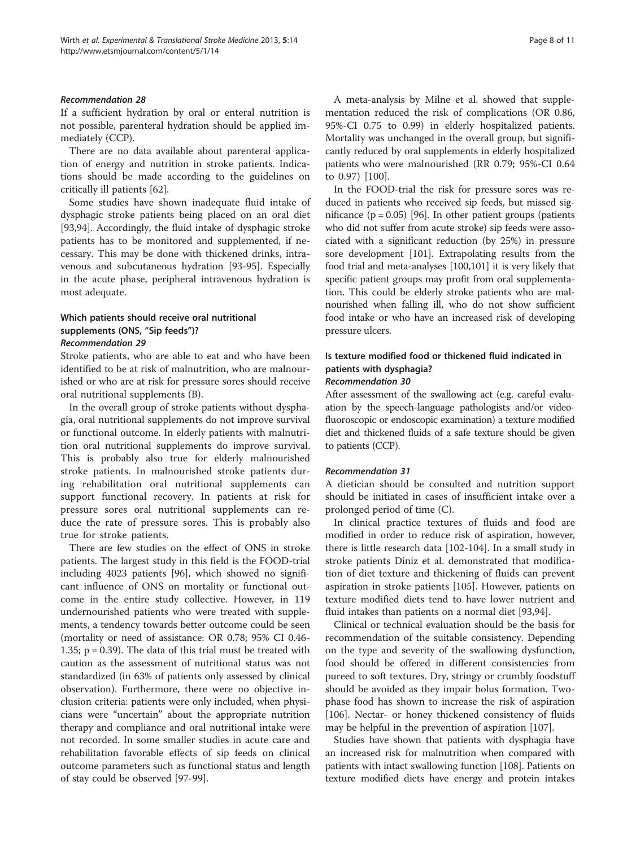#### Recommendation 28

If a sufficient hydration by oral or enteral nutrition is not possible, parenteral hydration should be applied immediately (CCP).

There are no data available about parenteral application of energy and nutrition in stroke patients. Indications should be made according to the guidelines on critically ill patients [\[62](#page-9-0)].

Some studies have shown inadequate fluid intake of dysphagic stroke patients being placed on an oral diet [[93,94\]](#page-10-0). Accordingly, the fluid intake of dysphagic stroke patients has to be monitored and supplemented, if necessary. This may be done with thickened drinks, intravenous and subcutaneous hydration [\[93](#page-10-0)-[95\]](#page-10-0). Especially in the acute phase, peripheral intravenous hydration is most adequate.

# Which patients should receive oral nutritional supplements (ONS, "Sip feeds")?

## Recommendation 29

Stroke patients, who are able to eat and who have been identified to be at risk of malnutrition, who are malnourished or who are at risk for pressure sores should receive oral nutritional supplements (B).

In the overall group of stroke patients without dysphagia, oral nutritional supplements do not improve survival or functional outcome. In elderly patients with malnutrition oral nutritional supplements do improve survival. This is probably also true for elderly malnourished stroke patients. In malnourished stroke patients during rehabilitation oral nutritional supplements can support functional recovery. In patients at risk for pressure sores oral nutritional supplements can reduce the rate of pressure sores. This is probably also true for stroke patients.

There are few studies on the effect of ONS in stroke patients. The largest study in this field is the FOOD-trial including 4023 patients [[96](#page-10-0)], which showed no significant influence of ONS on mortality or functional outcome in the entire study collective. However, in 119 undernourished patients who were treated with supplements, a tendency towards better outcome could be seen (mortality or need of assistance: OR 0.78; 95% CI 0.46- 1.35; p = 0.39). The data of this trial must be treated with caution as the assessment of nutritional status was not standardized (in 63% of patients only assessed by clinical observation). Furthermore, there were no objective inclusion criteria: patients were only included, when physicians were "uncertain" about the appropriate nutrition therapy and compliance and oral nutritional intake were not recorded. In some smaller studies in acute care and rehabilitation favorable effects of sip feeds on clinical outcome parameters such as functional status and length of stay could be observed [[97-99](#page-10-0)].

A meta-analysis by Milne et al. showed that supplementation reduced the risk of complications (OR 0.86, 95%-CI 0.75 to 0.99) in elderly hospitalized patients. Mortality was unchanged in the overall group, but significantly reduced by oral supplements in elderly hospitalized patients who were malnourished (RR 0.79; 95%-CI 0.64 to 0.97) [[100\]](#page-10-0).

In the FOOD-trial the risk for pressure sores was reduced in patients who received sip feeds, but missed significance ( $p = 0.05$ ) [\[96](#page-10-0)]. In other patient groups (patients who did not suffer from acute stroke) sip feeds were associated with a significant reduction (by 25%) in pressure sore development [\[101\]](#page-10-0). Extrapolating results from the food trial and meta-analyses [\[100,101](#page-10-0)] it is very likely that specific patient groups may profit from oral supplementation. This could be elderly stroke patients who are malnourished when falling ill, who do not show sufficient food intake or who have an increased risk of developing pressure ulcers.

# Is texture modified food or thickened fluid indicated in patients with dysphagia?

#### Recommendation 30

After assessment of the swallowing act (e.g. careful evaluation by the speech-language pathologists and/or videofluoroscopic or endoscopic examination) a texture modified diet and thickened fluids of a safe texture should be given to patients (CCP).

#### Recommendation 31

A dietician should be consulted and nutrition support should be initiated in cases of insufficient intake over a prolonged period of time (C).

In clinical practice textures of fluids and food are modified in order to reduce risk of aspiration, however, there is little research data [\[102-104](#page-10-0)]. In a small study in stroke patients Diniz et al. demonstrated that modification of diet texture and thickening of fluids can prevent aspiration in stroke patients [\[105](#page-10-0)]. However, patients on texture modified diets tend to have lower nutrient and fluid intakes than patients on a normal diet [[93,94](#page-10-0)].

Clinical or technical evaluation should be the basis for recommendation of the suitable consistency. Depending on the type and severity of the swallowing dysfunction, food should be offered in different consistencies from pureed to soft textures. Dry, stringy or crumbly foodstuff should be avoided as they impair bolus formation. Twophase food has shown to increase the risk of aspiration [[106\]](#page-10-0). Nectar- or honey thickened consistency of fluids may be helpful in the prevention of aspiration [\[107](#page-10-0)].

Studies have shown that patients with dysphagia have an increased risk for malnutrition when compared with patients with intact swallowing function [\[108\]](#page-10-0). Patients on texture modified diets have energy and protein intakes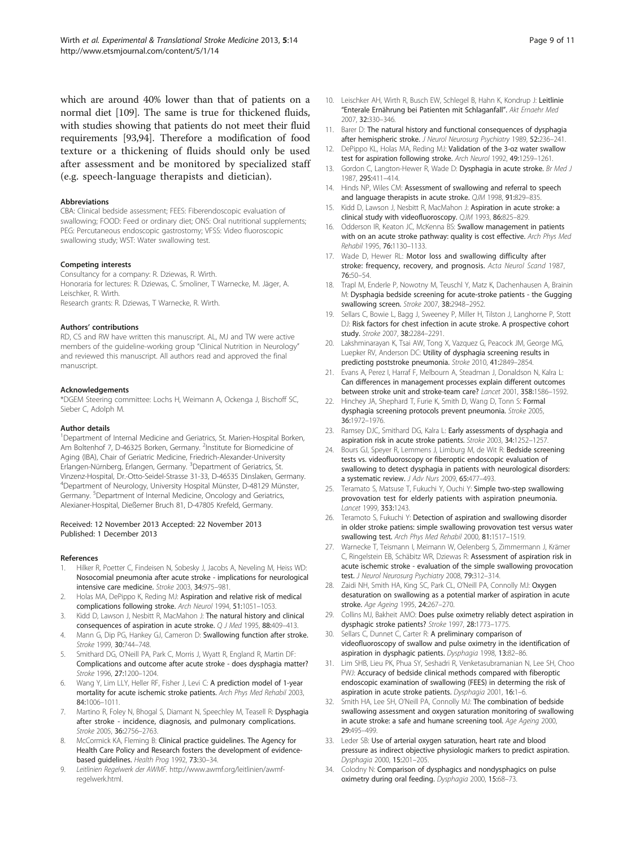<span id="page-8-0"></span>which are around 40% lower than that of patients on a normal diet [\[109\]](#page-10-0). The same is true for thickened fluids, with studies showing that patients do not meet their fluid requirements [\[93,94](#page-10-0)]. Therefore a modification of food texture or a thickening of fluids should only be used after assessment and be monitored by specialized staff (e.g. speech-language therapists and dietician).

#### Abbreviations

CBA: Clinical bedside assessment; FEES: Fiberendoscopic evaluation of swallowing; FOOD: Feed or ordinary diet; ONS: Oral nutritional supplements; PEG: Percutaneous endoscopic gastrostomy; VFSS: Video fluoroscopic swallowing study; WST: Water swallowing test.

#### Competing interests

Consultancy for a company: R. Dziewas, R. Wirth. Honoraria for lectures: R. Dziewas, C. Smoliner, T Warnecke, M. Jäger, A. Leischker, R. Wirth. Research grants: R. Dziewas, T Warnecke, R. Wirth.

#### Authors' contributions

RD, CS and RW have written this manuscript. AL, MJ and TW were active members of the guideline-working group "Clinical Nutrition in Neurology" and reviewed this manuscript. All authors read and approved the final manuscript.

#### Acknowledgements

\*DGEM Steering committee: Lochs H, Weimann A, Ockenga J, Bischoff SC, Sieber C, Adolph M.

#### Author details

<sup>1</sup>Department of Internal Medicine and Geriatrics, St. Marien-Hospital Borken, Am Boltenhof 7, D-46325 Borken, Germany. <sup>2</sup>Institute for Biomedicine of Aging (IBA), Chair of Geriatric Medicine, Friedrich-Alexander-University Erlangen-Nürnberg, Erlangen, Germany. <sup>3</sup>Department of Geriatrics, St. Vinzenz-Hospital, Dr.-Otto-Seidel-Strasse 31-33, D-46535 Dinslaken, Germany. 4 Department of Neurology, University Hospital Münster, D-48129 Münster, Germany. <sup>5</sup>Department of Internal Medicine, Oncology and Geriatrics, Alexianer-Hospital, Dießemer Bruch 81, D-47805 Krefeld, Germany.

#### Received: 12 November 2013 Accepted: 22 November 2013 Published: 1 December 2013

#### References

- 1. Hilker R, Poetter C, Findeisen N, Sobesky J, Jacobs A, Neveling M, Heiss WD: Nosocomial pneumonia after acute stroke - implications for neurological intensive care medicine. Stroke 2003, 34:975–981.
- 2. Holas MA, DePippo K, Reding MJ: Aspiration and relative risk of medical complications following stroke. Arch Neurol 1994, 51:1051–1053.
- 3. Kidd D, Lawson J, Nesbitt R, MacMahon J: The natural history and clinical consequences of aspiration in acute stroke. Q J Med 1995, 88:409–413.
- 4. Mann G, Dip PG, Hankey GJ, Cameron D: Swallowing function after stroke. Stroke 1999, 30:744–748.
- 5. Smithard DG, O'Neill PA, Park C, Morris J, Wyatt R, England R, Martin DF: Complications and outcome after acute stroke - does dysphagia matter? Stroke 1996, 27:1200–1204.
- Wang Y, Lim LLY, Heller RF, Fisher J, Levi C: A prediction model of 1-year mortality for acute ischemic stroke patients. Arch Phys Med Rehabil 2003, 84:1006–1011.
- 7. Martino R, Foley N, Bhogal S, Diamant N, Speechley M, Teasell R: Dysphagia after stroke - incidence, diagnosis, and pulmonary complications. Stroke 2005, 36:2756–2763.
- McCormick KA, Fleming B: Clinical practice guidelines. The Agency for Health Care Policy and Research fosters the development of evidencebased guidelines. Health Prog 1992, 73:30–34.
- 9. Leitlinien Regelwerk der AWMF. [http://www.awmf.org/leitlinien/awmf](http://www.awmf.org/leitlinien/awmf-regelwerk.html)[regelwerk.html.](http://www.awmf.org/leitlinien/awmf-regelwerk.html)
- 10. Leischker AH, Wirth R, Busch EW, Schlegel B, Hahn K, Kondrup J: Leitlinie "Enterale Ernährung bei Patienten mit Schlaganfall". Akt Ernaehr Med 2007, 32:330–346.
- 11. Barer D: The natural history and functional consequences of dysphagia after hemispheric stroke. J Neurol Neurosurg Psychiatry 1989, 52:236–241.
- 12. DePippo KL, Holas MA, Reding MJ: Validation of the 3-oz water swallow test for aspiration following stroke. Arch Neurol 1992, 49:1259–1261.
- 13. Gordon C, Langton-Hewer R, Wade D: Dysphagia in acute stroke. Br Med J 1987, 295:411–414.
- 14. Hinds NP, Wiles CM: Assessment of swallowing and referral to speech and language therapists in acute stroke. QJM 1998, 91:829-835.
- 15. Kidd D, Lawson J, Nesbitt R, MacMahon J: Aspiration in acute stroke: a clinical study with videofluoroscopy. QJM 1993, 86:825–829.
- 16. Odderson IR, Keaton JC, McKenna BS: Swallow management in patients with on an acute stroke pathway: quality is cost effective. Arch Phys Med Rehabil 1995, 76:1130–1133.
- 17. Wade D, Hewer RL: Motor loss and swallowing difficulty after stroke: frequency, recovery, and prognosis. Acta Neurol Scand 1987, 76:50–54.
- 18. Trapl M, Enderle P, Nowotny M, Teuschl Y, Matz K, Dachenhausen A, Brainin M: Dysphagia bedside screening for acute-stroke patients - the Gugging swallowing screen. Stroke 2007, 38:2948–2952.
- 19. Sellars C, Bowie L, Bagg J, Sweeney P, Miller H, Tilston J, Langhorne P, Stott DJ: Risk factors for chest infection in acute stroke. A prospective cohort study. Stroke 2007, 38:2284–2291.
- 20. Lakshminarayan K, Tsai AW, Tong X, Vazquez G, Peacock JM, George MG, Luepker RV, Anderson DC: Utility of dysphagia screening results in predicting poststroke pneumonia. Stroke 2010, 41:2849–2854.
- 21. Evans A, Perez I, Harraf F, Melbourn A, Steadman J, Donaldson N, Kalra L: Can differences in management processes explain different outcomes between stroke unit and stroke-team care? Lancet 2001, 358:1586–1592.
- 22. Hinchey JA, Shephard T, Furie K, Smith D, Wang D, Tonn S: Formal dysphagia screening protocols prevent pneumonia. Stroke 2005, 36:1972–1976.
- 23. Ramsey DJC, Smithard DG, Kalra L: Early assessments of dysphagia and aspiration risk in acute stroke patients. Stroke 2003, 34:1252–1257.
- 24. Bours GJ, Speyer R, Lemmens J, Limburg M, de Wit R: Bedside screening tests vs. videofluoroscopy or fiberoptic endoscopic evaluation of swallowing to detect dysphagia in patients with neurological disorders: a systematic review. J Adv Nurs 2009, 65:477–493.
- 25. Teramato S, Matsuse T, Fukuchi Y, Ouchi Y: Simple two-step swallowing provovation test for elderly patients with aspiration pneumonia. Lancet 1999, 353:1243.
- 26. Teramoto S, Fukuchi Y: Detection of aspiration and swallowing disorder in older stroke patiens: simple swallowing provovation test versus water swallowing test. Arch Phys Med Rehabil 2000, 81:1517–1519.
- 27. Warnecke T, Teismann I, Meimann W, Oelenberg S, Zimmermann J, Krämer C, Ringelstein EB, Schäbitz WR, Dziewas R: Assessment of aspiration risk in acute ischemic stroke - evaluation of the simple swallowing provocation test. J Neurol Neurosurg Psychiatry 2008, 79:312-314.
- 28. Zaidi NH, Smith HA, King SC, Park CL, O'Neill PA, Connolly MJ: Oxygen desaturation on swallowing as a potential marker of aspiration in acute stroke. Age Ageing 1995, 24:267–270.
- 29. Collins MJ, Bakheit AMO: Does pulse oximetry reliably detect aspiration in dysphagic stroke patients? Stroke 1997, 28:1773–1775.
- 30. Sellars C, Dunnet C, Carter R: A preliminary comparison of videofluoroscopy of swallow and pulse oximetry in the identification of aspiration in dysphagic patients. Dysphagia 1998, 13:82–86.
- 31. Lim SHB, Lieu PK, Phua SY, Seshadri R, Venketasubramanian N, Lee SH, Choo PWJ: Accuracy of bedside clinical methods compared with fiberoptic endoscopic examination of swallowing (FEES) in determing the risk of aspiration in acute stroke patients. Dysphagia 2001, 16:1–6.
- 32. Smith HA, Lee SH, O'Neill PA, Connolly MJ: The combination of bedside swallowing assessment and oxygen saturation monitoring of swallowing in acute stroke: a safe and humane screening tool. Age Ageing 2000, 29:495–499.
- 33. Leder SB: Use of arterial oxygen saturation, heart rate and blood pressure as indirect objective physiologic markers to predict aspiration. Dysphagia 2000, 15:201–205.
- 34. Colodny N: Comparison of dysphagics and nondysphagics on pulse oximetry during oral feeding. Dysphagia 2000, 15:68–73.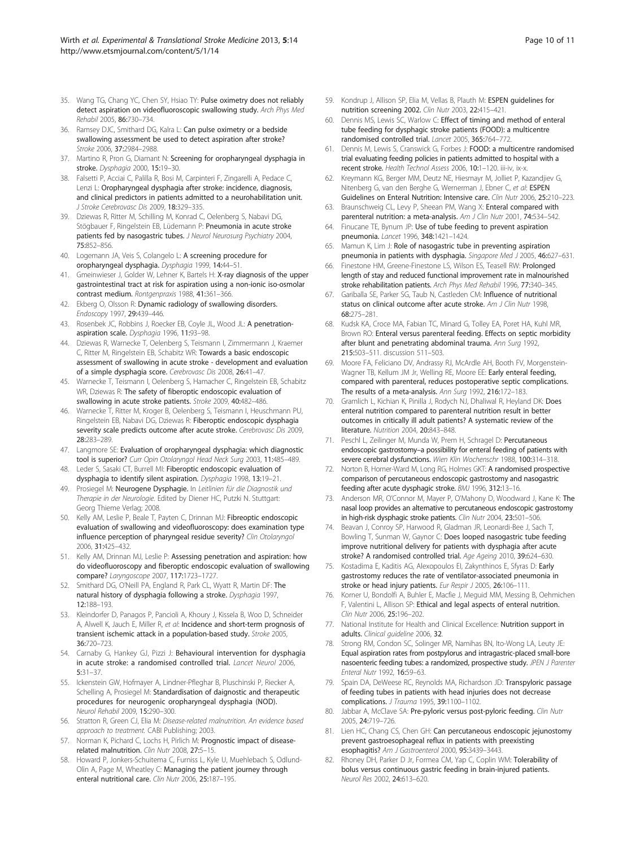- <span id="page-9-0"></span>35. Wang TG, Chang YC, Chen SY, Hsiao TY: Pulse oximetry does not reliably detect aspiration on videofluoroscopic swallowing study. Arch Phys Med Rehabil 2005, 86:730–734.
- 36. Ramsey DJC, Smithard DG, Kalra L: Can pulse oximetry or a bedside swallowing assessment be used to detect aspiration after stroke? Stroke 2006, 37:2984–2988.
- 37. Martino R, Pron G, Diamant N: Screening for oropharyngeal dysphagia in stroke. Dysphagia 2000, 15:19–30.
- 38. Falsetti P, Acciai C, Palilla R, Bosi M, Carpinteri F, Zingarelli A, Pedace C, Lenzi L: Oropharyngeal dysphagia after stroke: incidence, diagnosis, and clinical predictors in patients admitted to a neurohabilitation unit. J Stroke Cerebrovasc Dis 2009, 18:329–335.
- 39. Dziewas R, Ritter M, Schilling M, Konrad C, Oelenberg S, Nabavi DG, Stögbauer F, Ringelstein EB, Lüdemann P: Pneumonia in acute stroke patients fed by nasogastric tubes. J Neurol Neurosurg Psychiatry 2004, 75:852–856.
- 40. Logemann JA, Veis S, Colangelo L: A screening procedure for oropharyngeal dysphagia. Dysphagia 1999, 14:44–51.
- 41. Gmeinwieser J, Golder W, Lehner K, Bartels H: X-ray diagnosis of the upper gastrointestinal tract at risk for aspiration using a non-ionic iso-osmolar contrast medium. Rontgenpraxis 1988, 41:361–366.
- 42. Ekberg O, Olsson R: Dynamic radiology of swallowing disorders. Endoscopy 1997, 29:439–446.
- 43. Rosenbek JC, Robbins J, Roecker EB, Coyle JL, Wood JL: A penetrationaspiration scale. Dysphagia 1996, 11:93–98.
- 44. Dziewas R, Warnecke T, Oelenberg S, Teismann I, Zimmermann J, Kraemer C, Ritter M, Ringelstein EB, Schabitz WR: Towards a basic endoscopic assessment of swallowing in acute stroke - development and evaluation of a simple dysphagia score. Cerebrovasc Dis 2008, 26:41–47.
- 45. Warnecke T, Teismann I, Oelenberg S, Hamacher C, Ringelstein EB, Schabitz WR, Dziewas R: The safety of fiberoptic endoscopic evaluation of swallowing in acute stroke patients. Stroke 2009, 40:482–486.
- 46. Warnecke T, Ritter M, Kroger B, Oelenberg S, Teismann I, Heuschmann PU, Ringelstein EB, Nabavi DG, Dziewas R: Fiberoptic endoscopic dysphagia severity scale predicts outcome after acute stroke. Cerebrovasc Dis 2009, 28:283–289.
- 47. Langmore SE: Evaluation of oropharyngeal dysphagia: which diagnostic tool is superior? Curr Opin Otolaryngol Head Neck Surg 2003, 11:485–489.
- 48. Leder S, Sasaki CT, Burrell MI: Fiberoptic endoscopic evaluation of dysphagia to identify silent aspiration. Dysphagia 1998, 13:19–21.
- 49. Prosiegel M: Neurogene Dysphagie. In Leitlinien für die Diagnostik und Therapie in der Neurologie. Edited by Diener HC, Putzki N. Stuttgart: Georg Thieme Verlag; 2008.
- 50. Kelly AM, Leslie P, Beale T, Payten C, Drinnan MJ: Fibreoptic endoscopic evaluation of swallowing and videofluoroscopy: does examination type influence perception of pharyngeal residue severity? Clin Otolaryngol 2006, 31:425–432.
- 51. Kelly AM, Drinnan MJ, Leslie P: Assessing penetration and aspiration: how do videofluoroscopy and fiberoptic endoscopic evaluation of swallowing compare? Laryngoscope 2007, 117:1723–1727.
- 52. Smithard DG, O'Neill PA, England R, Park CL, Wyatt R, Martin DF: The natural history of dysphagia following a stroke. Dysphagia 1997, 12:188–193.
- 53. Kleindorfer D, Panagos P, Pancioli A, Khoury J, Kissela B, Woo D, Schneider A, Alwell K, Jauch E, Miller R, et al: Incidence and short-term prognosis of transient ischemic attack in a population-based study. Stroke 2005, 36:720–723.
- 54. Carnaby G, Hankey GJ, Pizzi J: Behavioural intervention for dysphagia in acute stroke: a randomised controlled trial. Lancet Neurol 2006, 5:31–37.
- 55. Ickenstein GW, Hofmayer A, Lindner-Pfleghar B, Pluschinski P, Riecker A, Schelling A, Prosiegel M: Standardisation of daignostic and therapeutic procedures for neurogenic oropharyngeal dysphagia (NOD). Neurol Rehabil 2009, 15:290–300.
- 56. Stratton R, Green CJ, Elia M: Disease-related malnutrition. An evidence based approach to treatment. CABI Publishing; 2003.
- 57. Norman K, Pichard C, Lochs H, Pirlich M: Prognostic impact of diseaserelated malnutrition. Clin Nutr 2008, 27:5-15.
- 58. Howard P, Jonkers-Schuitema C, Furniss L, Kyle U, Muehlebach S, Odlund-Olin A, Page M, Wheatley C: Managing the patient journey through enteral nutritional care. Clin Nutr 2006, 25:187–195.
- 59. Kondrup J, Allison SP, Elia M, Vellas B, Plauth M: ESPEN guidelines for nutrition screening 2002. Clin Nutr 2003, 22:415–421.
- 60. Dennis MS, Lewis SC, Warlow C: Effect of timing and method of enteral tube feeding for dysphagic stroke patients (FOOD): a multicentre randomised controlled trial. Lancet 2005, 365:764–772.
- 61. Dennis M, Lewis S, Cranswick G, Forbes J: FOOD: a multicentre randomised trial evaluating feeding policies in patients admitted to hospital with a recent stroke. Health Technol Assess 2006, 10:1–120. iii-iv, ix-x.
- 62. Kreymann KG, Berger MM, Deutz NE, Hiesmayr M, Jolliet P, Kazandjiev G, Nitenberg G, van den Berghe G, Wernerman J, Ebner C, et al: ESPEN Guidelines on Enteral Nutrition: Intensive care. Clin Nutr 2006, 25:210–223.
- 63. Braunschweig CL, Levy P, Sheean PM, Wang X: Enteral compared with parenteral nutrition: a meta-analysis. Am J Clin Nutr 2001, 74:534-542.
- 64. Finucane TE, Bynum JP: Use of tube feeding to prevent aspiration pneumonia. Lancet 1996, 348:1421–1424.
- 65. Mamun K, Lim J: Role of nasogastric tube in preventing aspiration pneumonia in patients with dysphagia. Singapore Med J 2005, 46:627-631.
- 66. Finestone HM, Greene-Finestone LS, Wilson ES, Teasell RW: Prolonged length of stay and reduced functional improvement rate in malnourished stroke rehabilitation patients. Arch Phys Med Rehabil 1996, 77:340–345.
- 67. Gariballa SE, Parker SG, Taub N, Castleden CM: Influence of nutritional status on clinical outcome after acute stroke. Am J Clin Nutr 1998, 68:275–281.
- 68. Kudsk KA, Croce MA, Fabian TC, Minard G, Tolley EA, Poret HA, Kuhl MR, Brown RO: Enteral versus parenteral feeding. Effects on septic morbidity after blunt and penetrating abdominal trauma. Ann Surg 1992, 215:503–511. discussion 511–503.
- 69. Moore FA, Feliciano DV, Andrassy RJ, McArdle AH, Booth FV, Morgenstein-Wagner TB, Kellum JM Jr, Welling RE, Moore EE: Early enteral feeding, compared with parenteral, reduces postoperative septic complications. The results of a meta-analysis. Ann Surg 1992, 216:172–183.
- 70. Gramlich L, Kichian K, Pinilla J, Rodych NJ, Dhaliwal R, Heyland DK: Does enteral nutrition compared to parenteral nutrition result in better outcomes in critically ill adult patients? A systematic review of the literature. Nutrition 2004, 20:843–848.
- 71. Peschl L, Zeilinger M, Munda W, Prem H, Schragel D: Percutaneous endoscopic gastrostomy–a possibility for enteral feeding of patients with severe cerebral dysfunctions. Wien Klin Wochenschr 1988, 100:314–318.
- 72. Norton B, Homer-Ward M, Long RG, Holmes GKT: A randomised prospective comparison of percutaneous endoscopic gastrostomy and nasogastric feeding after acute dysphagic stroke. BMJ 1996, 312:13–16.
- 73. Anderson MR, O'Connor M, Mayer P, O'Mahony D, Woodward J, Kane K: The nasal loop provides an alternative to percutaneous endoscopic gastrostomy in high-risk dysphagic stroke patients. Clin Nutr 2004, 23:501–506.
- 74. Beavan J, Conroy SP, Harwood R, Gladman JR, Leonardi-Bee J, Sach T, Bowling T, Sunman W, Gaynor C: Does looped nasogastric tube feeding improve nutritional delivery for patients with dysphagia after acute stroke? A randomised controlled trial. Age Ageing 2010, 39:624–630.
- 75. Kostadima E, Kaditis AG, Alexopoulos El, Zakynthinos E, Sfyras D: Early gastrostomy reduces the rate of ventilator-associated pneumonia in stroke or head injury patients. Eur Respir J 2005, 26:106-111.
- 76. Korner U, Bondolfi A, Buhler E, Macfie J, Meguid MM, Messing B, Oehmichen F, Valentini L, Allison SP: Ethical and legal aspects of enteral nutrition. Clin Nutr 2006, 25:196–202.
- 77. National Institute for Health and Clinical Excellence: Nutrition support in adults. Clinical guideline 2006, 32.
- Strong RM, Condon SC, Solinger MR, Namihas BN, Ito-Wong LA, Leuty JE: Equal aspiration rates from postpylorus and intragastric-placed small-bore nasoenteric feeding tubes: a randomized, prospective study. JPEN J Parenter Enteral Nutr 1992, 16:59–63.
- 79. Spain DA, DeWeese RC, Reynolds MA, Richardson JD: Transpyloric passage of feeding tubes in patients with head injuries does not decrease complications. J Trauma 1995, 39:1100–1102.
- 80. Jabbar A, McClave SA: Pre-pyloric versus post-pyloric feeding. Clin Nutr 2005, 24:719–726.
- 81. Lien HC, Chang CS, Chen GH: Can percutaneous endoscopic jejunostomy prevent gastroesophageal reflux in patients with preexisting esophagitis? Am J Gastroenterol 2000, 95:3439–3443.
- 82. Rhoney DH, Parker D Jr, Formea CM, Yap C, Coplin WM: Tolerability of bolus versus continuous gastric feeding in brain-injured patients. Neurol Res 2002, 24:613–620.